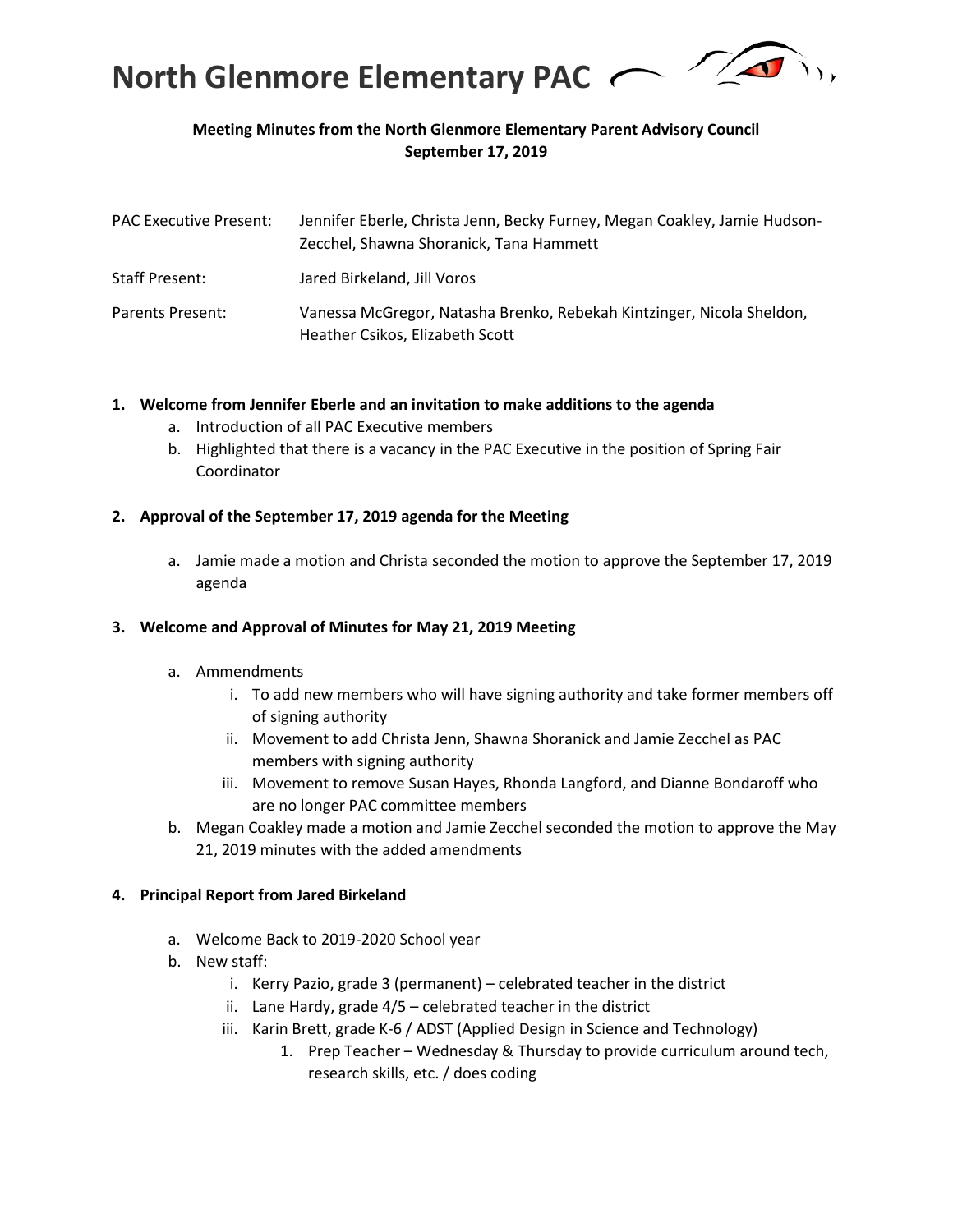

### **Meeting Minutes from the North Glenmore Elementary Parent Advisory Council September 17, 2019**

| <b>PAC Executive Present:</b> | Jennifer Eberle, Christa Jenn, Becky Furney, Megan Coakley, Jamie Hudson-<br>Zecchel, Shawna Shoranick, Tana Hammett |
|-------------------------------|----------------------------------------------------------------------------------------------------------------------|
| <b>Staff Present:</b>         | Jared Birkeland, Jill Voros                                                                                          |
| Parents Present:              | Vanessa McGregor, Natasha Brenko, Rebekah Kintzinger, Nicola Sheldon,<br>Heather Csikos, Elizabeth Scott             |

### **1. Welcome from Jennifer Eberle and an invitation to make additions to the agenda**

- a. Introduction of all PAC Executive members
- b. Highlighted that there is a vacancy in the PAC Executive in the position of Spring Fair Coordinator

### **2. Approval of the September 17, 2019 agenda for the Meeting**

a. Jamie made a motion and Christa seconded the motion to approve the September 17, 2019 agenda

### **3. Welcome and Approval of Minutes for May 21, 2019 Meeting**

- a. Ammendments
	- i. To add new members who will have signing authority and take former members off of signing authority
	- ii. Movement to add Christa Jenn, Shawna Shoranick and Jamie Zecchel as PAC members with signing authority
	- iii. Movement to remove Susan Hayes, Rhonda Langford, and Dianne Bondaroff who are no longer PAC committee members
- b. Megan Coakley made a motion and Jamie Zecchel seconded the motion to approve the May 21, 2019 minutes with the added amendments

### **4. Principal Report from Jared Birkeland**

- a. Welcome Back to 2019-2020 School year
- b. New staff:
	- i. Kerry Pazio, grade 3 (permanent) celebrated teacher in the district
	- ii. Lane Hardy, grade 4/5 celebrated teacher in the district
	- iii. Karin Brett, grade K-6 / ADST (Applied Design in Science and Technology)
		- 1. Prep Teacher Wednesday & Thursday to provide curriculum around tech, research skills, etc. / does coding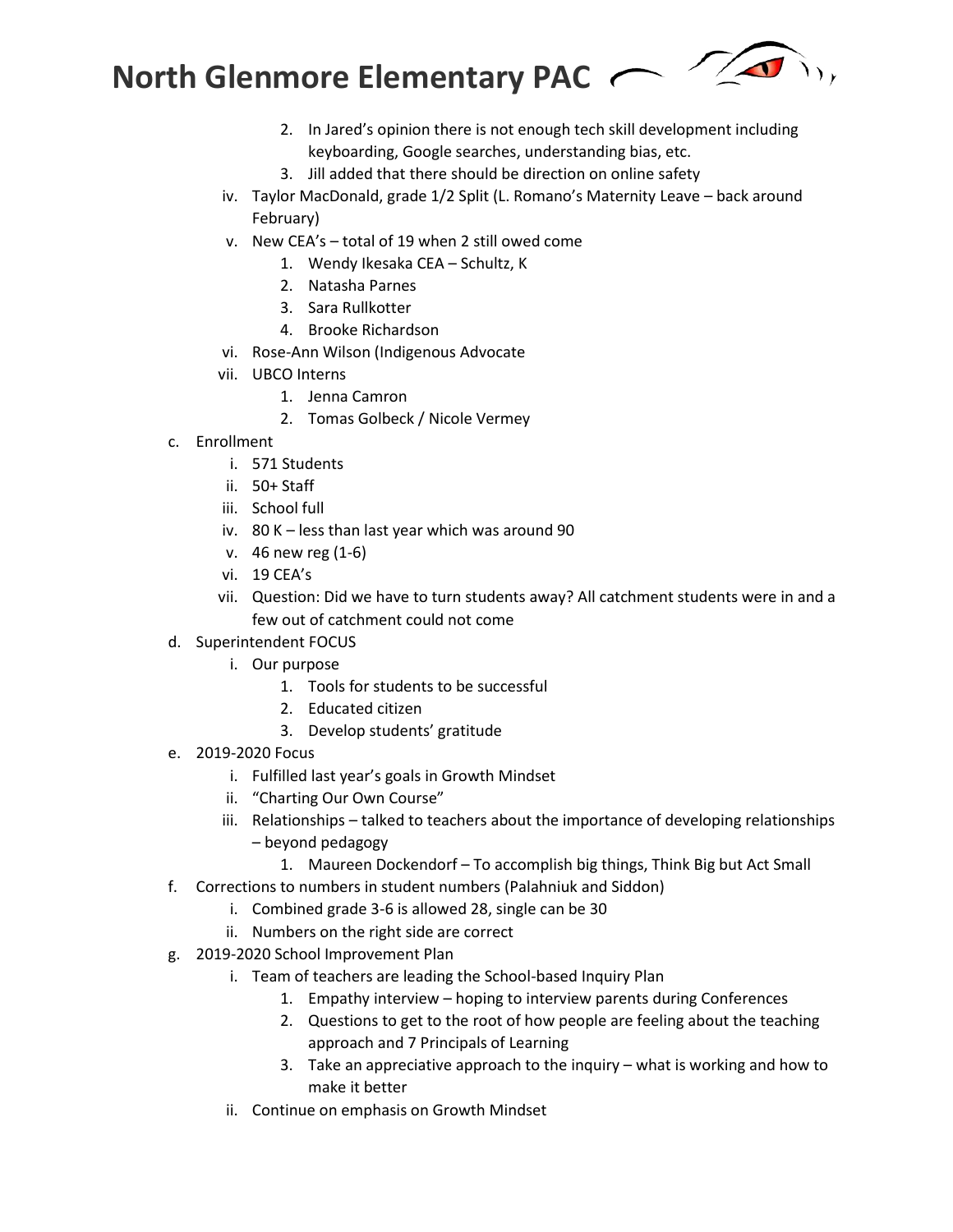

- 2. In Jared's opinion there is not enough tech skill development including keyboarding, Google searches, understanding bias, etc.
- 3. Jill added that there should be direction on online safety
- iv. Taylor MacDonald, grade 1/2 Split (L. Romano's Maternity Leave back around February)
- v. New CEA's total of 19 when 2 still owed come
	- 1. Wendy Ikesaka CEA Schultz, K
	- 2. Natasha Parnes
	- 3. Sara Rullkotter
	- 4. Brooke Richardson
- vi. Rose-Ann Wilson (Indigenous Advocate
- vii. UBCO Interns
	- 1. Jenna Camron
	- 2. Tomas Golbeck / Nicole Vermey
- c. Enrollment
	- i. 571 Students
	- ii. 50+ Staff
	- iii. School full
	- iv. 80 K less than last year which was around 90
	- v. 46 new reg (1-6)
	- vi. 19 CEA's
	- vii. Question: Did we have to turn students away? All catchment students were in and a few out of catchment could not come
- d. Superintendent FOCUS
	- i. Our purpose
		- 1. Tools for students to be successful
		- 2. Educated citizen
		- 3. Develop students' gratitude
- e. 2019-2020 Focus
	- i. Fulfilled last year's goals in Growth Mindset
	- ii. "Charting Our Own Course"
	- iii. Relationships talked to teachers about the importance of developing relationships
		- beyond pedagogy
			- 1. Maureen Dockendorf To accomplish big things, Think Big but Act Small
- f. Corrections to numbers in student numbers (Palahniuk and Siddon)
	- i. Combined grade 3-6 is allowed 28, single can be 30
	- ii. Numbers on the right side are correct
- g. 2019-2020 School Improvement Plan
	- i. Team of teachers are leading the School-based Inquiry Plan
		- 1. Empathy interview hoping to interview parents during Conferences
		- 2. Questions to get to the root of how people are feeling about the teaching approach and 7 Principals of Learning
		- 3. Take an appreciative approach to the inquiry what is working and how to make it better
	- ii. Continue on emphasis on Growth Mindset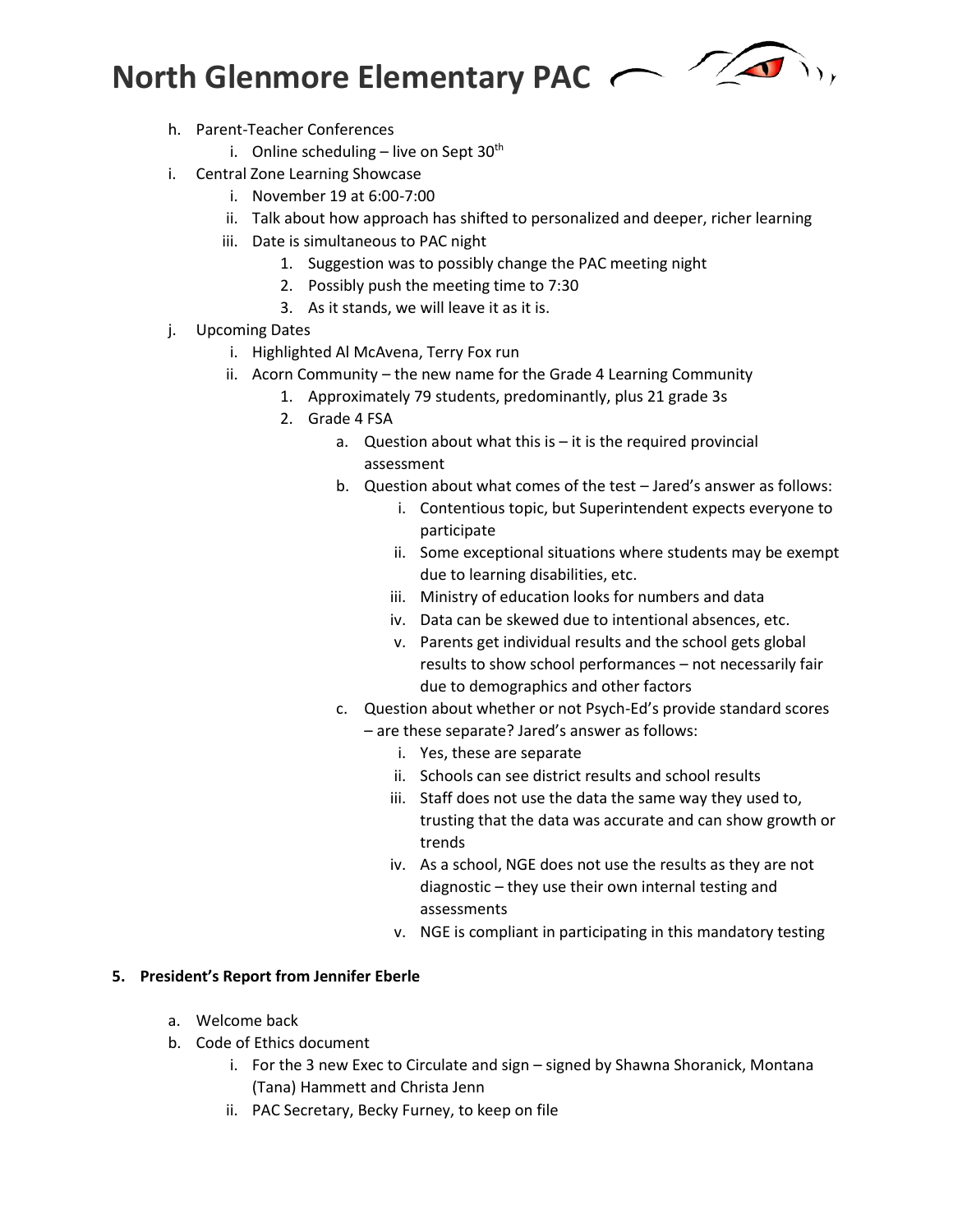

- h. Parent-Teacher Conferences
	- i. Online scheduling  $-$  live on Sept 30<sup>th</sup>
- i. Central Zone Learning Showcase
	- i. November 19 at 6:00-7:00
	- ii. Talk about how approach has shifted to personalized and deeper, richer learning
	- iii. Date is simultaneous to PAC night
		- 1. Suggestion was to possibly change the PAC meeting night
		- 2. Possibly push the meeting time to 7:30
		- 3. As it stands, we will leave it as it is.
- j. Upcoming Dates
	- i. Highlighted Al McAvena, Terry Fox run
	- ii. Acorn Community the new name for the Grade 4 Learning Community
		- 1. Approximately 79 students, predominantly, plus 21 grade 3s
		- 2. Grade 4 FSA
			- a. Question about what this is it is the required provincial assessment
			- b. Question about what comes of the test Jared's answer as follows:
				- i. Contentious topic, but Superintendent expects everyone to participate
				- ii. Some exceptional situations where students may be exempt due to learning disabilities, etc.
				- iii. Ministry of education looks for numbers and data
				- iv. Data can be skewed due to intentional absences, etc.
				- v. Parents get individual results and the school gets global results to show school performances – not necessarily fair due to demographics and other factors
			- c. Question about whether or not Psych-Ed's provide standard scores
				- are these separate? Jared's answer as follows:
					- i. Yes, these are separate
					- ii. Schools can see district results and school results
					- iii. Staff does not use the data the same way they used to, trusting that the data was accurate and can show growth or trends
					- iv. As a school, NGE does not use the results as they are not diagnostic – they use their own internal testing and assessments
					- v. NGE is compliant in participating in this mandatory testing

### **5. President's Report from Jennifer Eberle**

- a. Welcome back
- b. Code of Ethics document
	- i. For the 3 new Exec to Circulate and sign signed by Shawna Shoranick, Montana (Tana) Hammett and Christa Jenn
	- ii. PAC Secretary, Becky Furney, to keep on file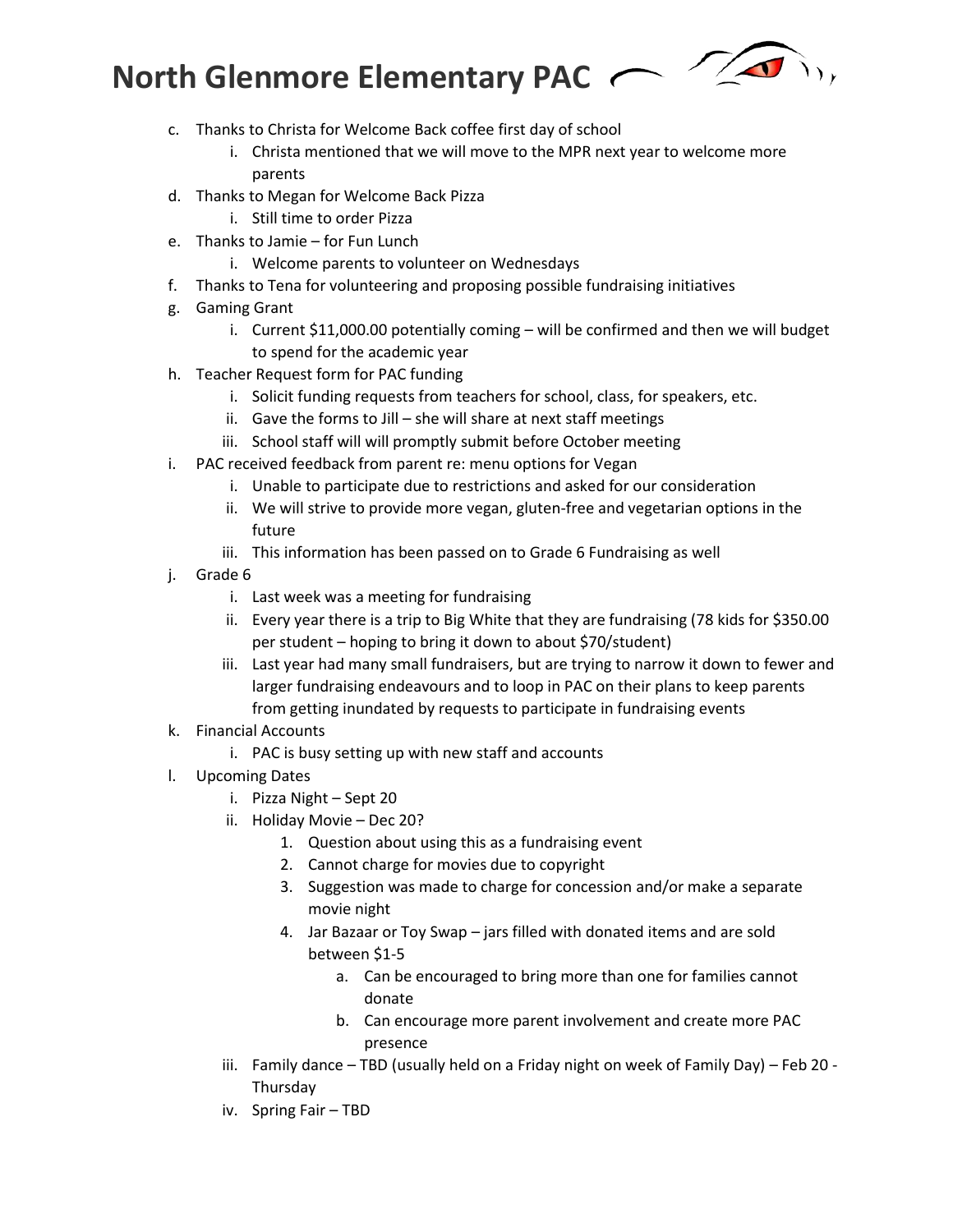

- c. Thanks to Christa for Welcome Back coffee first day of school
	- i. Christa mentioned that we will move to the MPR next year to welcome more parents
- d. Thanks to Megan for Welcome Back Pizza
	- i. Still time to order Pizza
- e. Thanks to Jamie for Fun Lunch
	- i. Welcome parents to volunteer on Wednesdays
- f. Thanks to Tena for volunteering and proposing possible fundraising initiatives
- g. Gaming Grant
	- i. Current \$11,000.00 potentially coming will be confirmed and then we will budget to spend for the academic year
- h. Teacher Request form for PAC funding
	- i. Solicit funding requests from teachers for school, class, for speakers, etc.
	- ii. Gave the forms to Jill she will share at next staff meetings
	- iii. School staff will will promptly submit before October meeting
- i. PAC received feedback from parent re: menu options for Vegan
	- i. Unable to participate due to restrictions and asked for our consideration
	- ii. We will strive to provide more vegan, gluten-free and vegetarian options in the future
	- iii. This information has been passed on to Grade 6 Fundraising as well
- j. Grade 6
	- i. Last week was a meeting for fundraising
	- ii. Every year there is a trip to Big White that they are fundraising (78 kids for \$350.00 per student – hoping to bring it down to about \$70/student)
	- iii. Last year had many small fundraisers, but are trying to narrow it down to fewer and larger fundraising endeavours and to loop in PAC on their plans to keep parents from getting inundated by requests to participate in fundraising events
- k. Financial Accounts
	- i. PAC is busy setting up with new staff and accounts
- l. Upcoming Dates
	- i. Pizza Night Sept 20
	- ii. Holiday Movie Dec 20?
		- 1. Question about using this as a fundraising event
		- 2. Cannot charge for movies due to copyright
		- 3. Suggestion was made to charge for concession and/or make a separate movie night
		- 4. Jar Bazaar or Toy Swap jars filled with donated items and are sold between \$1-5
			- a. Can be encouraged to bring more than one for families cannot donate
			- b. Can encourage more parent involvement and create more PAC presence
	- iii. Family dance TBD (usually held on a Friday night on week of Family Day) Feb 20 Thursday
	- iv. Spring Fair TBD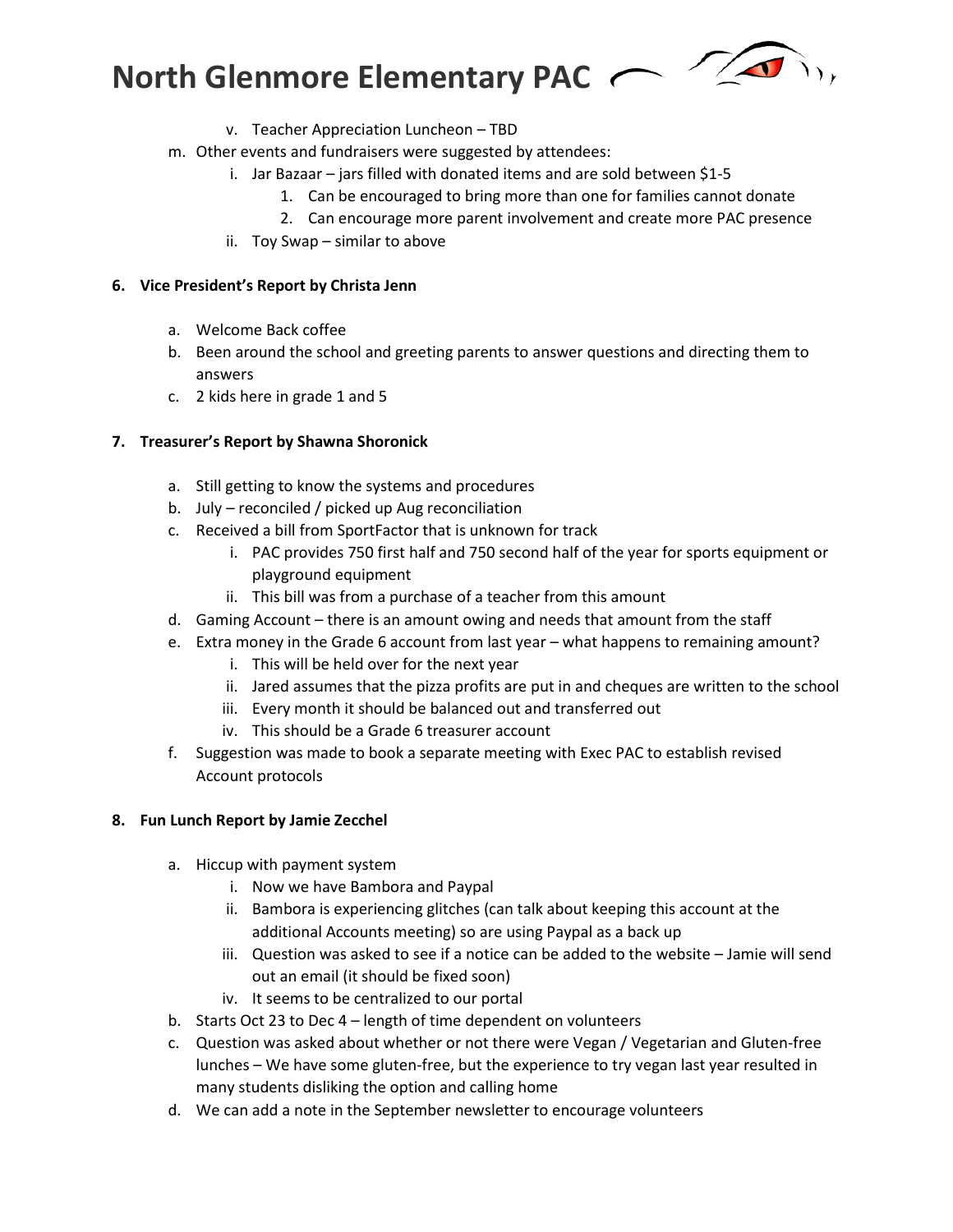

- v. Teacher Appreciation Luncheon TBD
- m. Other events and fundraisers were suggested by attendees:
	- i. Jar Bazaar jars filled with donated items and are sold between \$1-5
		- 1. Can be encouraged to bring more than one for families cannot donate
		- 2. Can encourage more parent involvement and create more PAC presence
	- ii. Toy Swap similar to above

### **6. Vice President's Report by Christa Jenn**

- a. Welcome Back coffee
- b. Been around the school and greeting parents to answer questions and directing them to answers
- c. 2 kids here in grade 1 and 5

### **7. Treasurer's Report by Shawna Shoronick**

- a. Still getting to know the systems and procedures
- b. July reconciled / picked up Aug reconciliation
- c. Received a bill from SportFactor that is unknown for track
	- i. PAC provides 750 first half and 750 second half of the year for sports equipment or playground equipment
	- ii. This bill was from a purchase of a teacher from this amount
- d. Gaming Account there is an amount owing and needs that amount from the staff
- e. Extra money in the Grade 6 account from last year what happens to remaining amount?
	- i. This will be held over for the next year
	- ii. Jared assumes that the pizza profits are put in and cheques are written to the school
	- iii. Every month it should be balanced out and transferred out
	- iv. This should be a Grade 6 treasurer account
- f. Suggestion was made to book a separate meeting with Exec PAC to establish revised Account protocols

### **8. Fun Lunch Report by Jamie Zecchel**

- a. Hiccup with payment system
	- i. Now we have Bambora and Paypal
	- ii. Bambora is experiencing glitches (can talk about keeping this account at the additional Accounts meeting) so are using Paypal as a back up
	- iii. Question was asked to see if a notice can be added to the website Jamie will send out an email (it should be fixed soon)
	- iv. It seems to be centralized to our portal
- b. Starts Oct 23 to Dec 4 length of time dependent on volunteers
- c. Question was asked about whether or not there were Vegan / Vegetarian and Gluten-free lunches – We have some gluten-free, but the experience to try vegan last year resulted in many students disliking the option and calling home
- d. We can add a note in the September newsletter to encourage volunteers